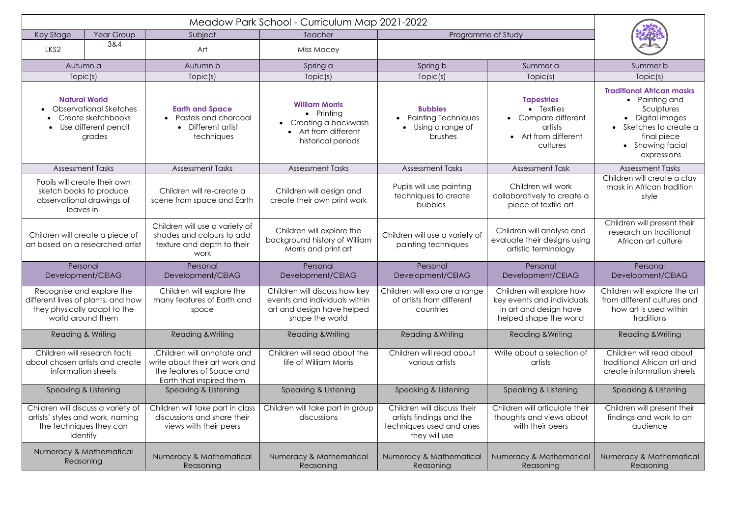| Key Stage<br>Year Group                                                                                              |     | Subject                                                                                                                | Teacher                                                                                                          | Programme of Study                                                                                   |                                                                                                             |                                                                                                                                                                  |
|----------------------------------------------------------------------------------------------------------------------|-----|------------------------------------------------------------------------------------------------------------------------|------------------------------------------------------------------------------------------------------------------|------------------------------------------------------------------------------------------------------|-------------------------------------------------------------------------------------------------------------|------------------------------------------------------------------------------------------------------------------------------------------------------------------|
| LKS <sub>2</sub>                                                                                                     | 3&4 | Art                                                                                                                    | Miss Macey                                                                                                       |                                                                                                      |                                                                                                             |                                                                                                                                                                  |
| Autumn a                                                                                                             |     | Autumn b                                                                                                               | Spring a                                                                                                         | Spring b                                                                                             | Summer a                                                                                                    | Summer b                                                                                                                                                         |
| Topic(s)                                                                                                             |     | Topic(s)                                                                                                               | Topic(s)                                                                                                         | Topic(s)                                                                                             | Topic(s)                                                                                                    | Topic(s)                                                                                                                                                         |
| <b>Natural World</b><br><b>Observational Sketches</b><br>Create sketchbooks<br>Use different pencil<br>grades        |     | <b>Earth and Space</b><br>Pastels and charcoal<br>Different artist<br>$\bullet$<br>techniques                          | <b>William Morris</b><br>$\bullet$ Printing<br>• Creating a backwash<br>Art from different<br>historical periods | <b>Bubbles</b><br><b>Painting Techniques</b><br>Using a range of<br><b>brushes</b>                   | <b>Tapestries</b><br>• Textiles<br>Compare different<br>artists<br>Art from different<br>cultures           | <b>Traditional African masks</b><br>• Painting and<br>Sculptures<br>• Digital images<br>• Sketches to create a<br>final piece<br>• Showing facial<br>expressions |
| <b>Assessment Tasks</b>                                                                                              |     | <b>Assessment Tasks</b>                                                                                                | <b>Assessment Tasks</b>                                                                                          | <b>Assessment Tasks</b>                                                                              | <b>Assessment Task</b>                                                                                      | <b>Assessment Tasks</b>                                                                                                                                          |
| Pupils will create their own<br>sketch books to produce<br>observational drawings of<br>leaves in                    |     | Children will re-create a<br>scene from space and Earth                                                                | Children will design and<br>create their own print work                                                          | Pupils will use painting<br>techniques to create<br>bubbles                                          | Children will work<br>collaboratively to create a<br>piece of textile art                                   | Children will create a clay<br>mask in African tradition<br>style                                                                                                |
| Children will create a piece of<br>art based on a researched artist                                                  |     | Children will use a variety of<br>shades and colours to add<br>texture and depth to their<br>work                      | Children will explore the<br>background history of William<br>Morris and print art                               | Children will use a variety of<br>painting techniques                                                | Children will analyse and<br>evaluate their designs using<br>artistic terminology                           | Children will present their<br>research on traditional<br>African art culture                                                                                    |
| Personal<br>Development/CEIAG                                                                                        |     | Personal<br>Development/CEIAG                                                                                          | Personal<br>Development/CEIAG                                                                                    | Personal<br>Development/CEIAG                                                                        | Personal<br>Development/CEIAG                                                                               | Personal<br>Development/CEIAG                                                                                                                                    |
| Recognise and explore the<br>different lives of plants, and how<br>they physically adapt to the<br>world around them |     | Children will explore the<br>many features of Earth and<br>space                                                       | Children will discuss how key<br>events and individuals within<br>art and design have helped<br>shape the world  | Children will explore a range<br>of artists from different<br>countries                              | Children will explore how<br>key events and individuals<br>in art and design have<br>helped shape the world | Children will explore the art<br>from different cultures and<br>how art is used within<br>traditions                                                             |
| Reading & Writing                                                                                                    |     | <b>Reading &amp; Writing</b>                                                                                           | <b>Reading &amp; Writing</b>                                                                                     | <b>Reading &amp; Writing</b>                                                                         | Reading & Writing                                                                                           | Reading & Writing                                                                                                                                                |
| Children will research facts<br>about chosen artists and create<br>information sheets                                |     | .Children will annotate and<br>write about their art work and<br>the features of Space and<br>Earth that inspired them | Children will read about the<br>life of William Morris                                                           | Children will read about<br>various artists                                                          | Write about a selection of<br>artists                                                                       | Children will read about<br>traditional African art and<br>create information sheets                                                                             |
| Speaking & Listening                                                                                                 |     | Speaking & Listening                                                                                                   | Speaking & Listening                                                                                             | Speaking & Listening                                                                                 | Speaking & Listening                                                                                        | Speaking & Listening                                                                                                                                             |
| Children will discuss a variety of<br>artists' styles and work, naming<br>the techniques they can<br>identify        |     | Children will take part in class<br>discussions and share their<br>views with their peers                              | Children will take part in group<br>discussions                                                                  | Children will discuss their<br>artists findings and the<br>techniques used and ones<br>they will use | Children will articulate their<br>thoughts and views about<br>with their peers                              | Children will present their<br>findings and work to an<br>audience                                                                                               |
| Numeracy & Mathematical<br>Reasoning                                                                                 |     | Numeracy & Mathematical<br>Reasoning                                                                                   | Numeracy & Mathematical<br>Reasoning                                                                             | Numeracy & Mathematical<br>Reasoning                                                                 | Numeracy & Mathematical<br>Reasoning                                                                        | Numeracy & Mathematical<br>Reasoning                                                                                                                             |